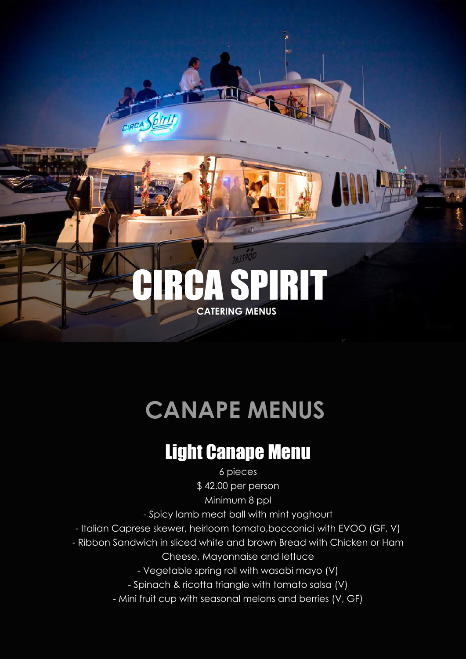# **CATERING MENUS**

GIREA Spirit

PIRIT

# **CANAPE MENUS**

#### Light Canape Menu

6 pieces \$ 42.00 per person

Minimum 8 ppl

- Spicy lamb meat ball with mint yoghourt

- Italian Caprese skewer, heirloom tomato,bocconici with EVOO (GF, V)
- Ribbon Sandwich in sliced white and brown Bread with Chicken or Ham
	- Cheese, Mayonnaise and lettuce

- Vegetable spring roll with wasabi mayo (V)

- Spinach & ricotta triangle with tomato salsa (V)
- Mini fruit cup with seasonal melons and berries (V, GF)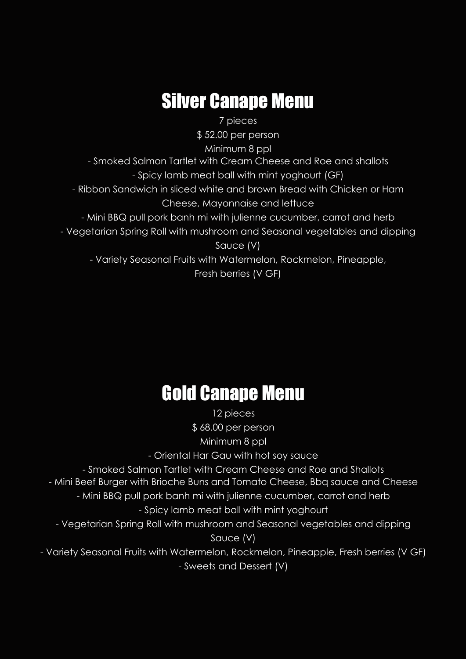## Silver Canape Menu

7 pieces

\$ 52.00 per person

Minimum 8 ppl

- Smoked Salmon Tartlet with Cream Cheese and Roe and shallots

- Spicy lamb meat ball with mint yoghourt (GF)

- Ribbon Sandwich in sliced white and brown Bread with Chicken or Ham

Cheese, Mayonnaise and lettuce

- Mini BBQ pull pork banh mi with julienne cucumber, carrot and herb

- Vegetarian Spring Roll with mushroom and Seasonal vegetables and dipping

Sauce (V)

- Variety Seasonal Fruits with Watermelon, Rockmelon, Pineapple,

Fresh berries (V GF)

### Gold Canape Menu

12 pieces \$ 68.00 per person Minimum 8 ppl

- Oriental Har Gau with hot soy sauce

- Smoked Salmon Tartlet with Cream Cheese and Roe and Shallots

- Mini Beef Burger with Brioche Buns and Tomato Cheese, Bbq sauce and Cheese

- Mini BBQ pull pork banh mi with julienne cucumber, carrot and herb

- Spicy lamb meat ball with mint yoghourt

- Vegetarian Spring Roll with mushroom and Seasonal vegetables and dipping Sauce (V)

- Variety Seasonal Fruits with Watermelon, Rockmelon, Pineapple, Fresh berries (V GF) - Sweets and Dessert (V)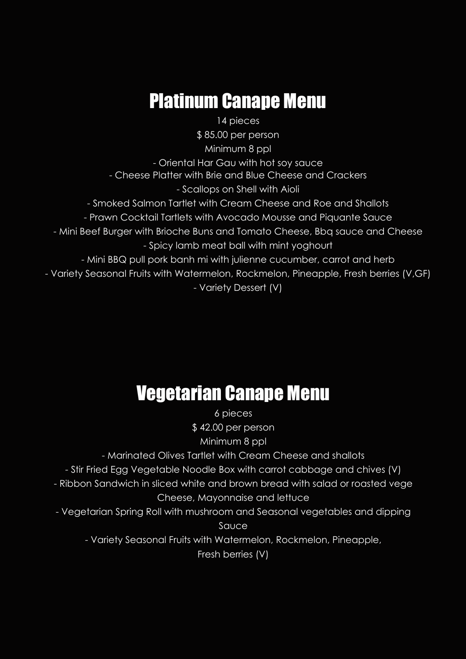### Platinum Canape Menu

14 pieces \$ 85.00 per person Minimum 8 ppl - Oriental Har Gau with hot soy sauce - Cheese Platter with Brie and Blue Cheese and Crackers - Scallops on Shell with Aioli - Smoked Salmon Tartlet with Cream Cheese and Roe and Shallots - Prawn Cocktail Tartlets with Avocado Mousse and Piquante Sauce - Mini Beef Burger with Brioche Buns and Tomato Cheese, Bbq sauce and Cheese - Spicy lamb meat ball with mint yoghourt - Mini BBQ pull pork banh mi with julienne cucumber, carrot and herb - Variety Seasonal Fruits with Watermelon, Rockmelon, Pineapple, Fresh berries (V,GF) - Variety Dessert (V)

#### Vegetarian Canape Menu

6 pieces \$ 42.00 per person Minimum 8 ppl - Marinated Olives Tartlet with Cream Cheese and shallots - Stir Fried Egg Vegetable Noodle Box with carrot cabbage and chives (V) - Ribbon Sandwich in sliced white and brown bread with salad or roasted vege Cheese, Mayonnaise and lettuce - Vegetarian Spring Roll with mushroom and Seasonal vegetables and dipping Sauce - Variety Seasonal Fruits with Watermelon, Rockmelon, Pineapple, Fresh berries (V)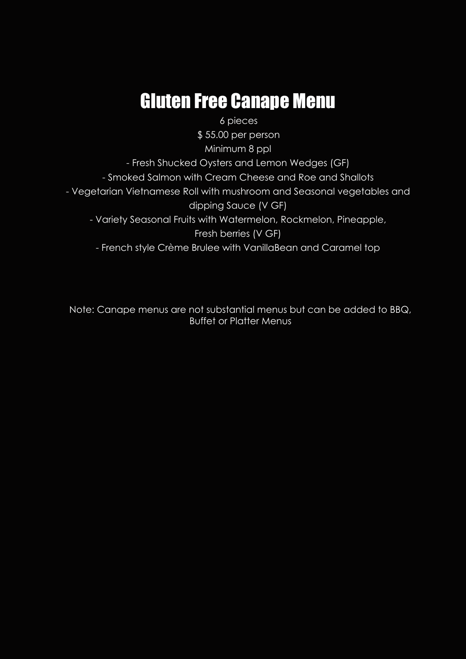### Gluten Free Canape Menu

6 pieces

\$ 55.00 per person

Minimum 8 ppl

- Fresh Shucked Oysters and Lemon Wedges (GF)

- Smoked Salmon with Cream Cheese and Roe and Shallots

- Vegetarian Vietnamese Roll with mushroom and Seasonal vegetables and

dipping Sauce (V GF)

- Variety Seasonal Fruits with Watermelon, Rockmelon, Pineapple,

Fresh berries (V GF)

- French style Crème Brulee with VanillaBean and Caramel top

Note: Canape menus are not substantial menus but can be added to BBQ, Buffet or Platter Menus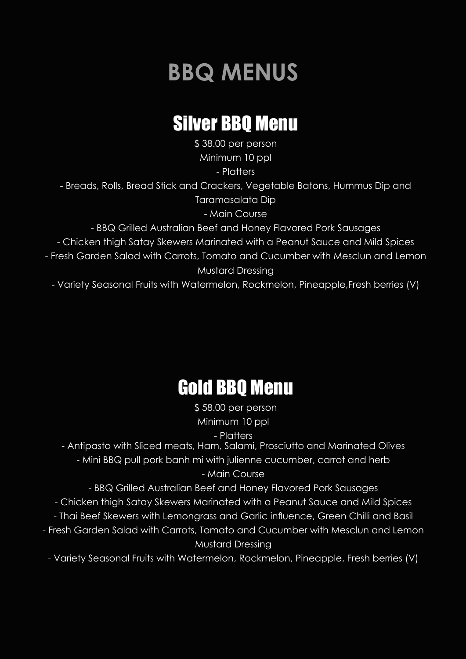# **BBQ MENUS**

### Silver BBQ Menu

\$ 38.00 per person Minimum 10 ppl

- Platters

- Breads, Rolls, Bread Stick and Crackers, Vegetable Batons, Hummus Dip and Taramasalata Dip

- Main Course

- BBQ Grilled Australian Beef and Honey Flavored Pork Sausages

- Chicken thigh Satay Skewers Marinated with a Peanut Sauce and Mild Spices

- Fresh Garden Salad with Carrots, Tomato and Cucumber with Mesclun and Lemon Mustard Dressing

- Variety Seasonal Fruits with Watermelon, Rockmelon, Pineapple,Fresh berries (V)

# Gold BBQ Menu

\$ 58.00 per person Minimum 10 ppl

- Platters

- Antipasto with Sliced meats, Ham, Salami, Prosciutto and Marinated Olives

- Mini BBQ pull pork banh mi with julienne cucumber, carrot and herb

- Main Course

- BBQ Grilled Australian Beef and Honey Flavored Pork Sausages

- Chicken thigh Satay Skewers Marinated with a Peanut Sauce and Mild Spices

- Thai Beef Skewers with Lemongrass and Garlic influence, Green Chilli and Basil

- Fresh Garden Salad with Carrots, Tomato and Cucumber with Mesclun and Lemon Mustard Dressing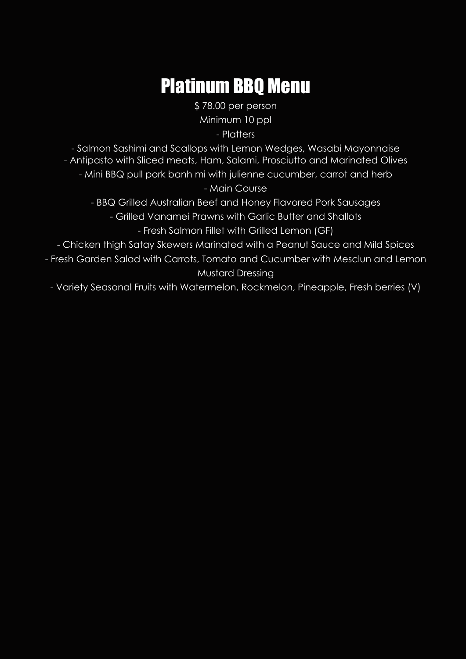# Platinum BBQ Menu

\$ 78.00 per person Minimum 10 ppl

- Platters

- Salmon Sashimi and Scallops with Lemon Wedges, Wasabi Mayonnaise - Antipasto with Sliced meats, Ham, Salami, Prosciutto and Marinated Olives

- Mini BBQ pull pork banh mi with julienne cucumber, carrot and herb

- Main Course

- BBQ Grilled Australian Beef and Honey Flavored Pork Sausages

- Grilled Vanamei Prawns with Garlic Butter and Shallots

- Fresh Salmon Fillet with Grilled Lemon (GF)

- Chicken thigh Satay Skewers Marinated with a Peanut Sauce and Mild Spices

- Fresh Garden Salad with Carrots, Tomato and Cucumber with Mesclun and Lemon Mustard Dressing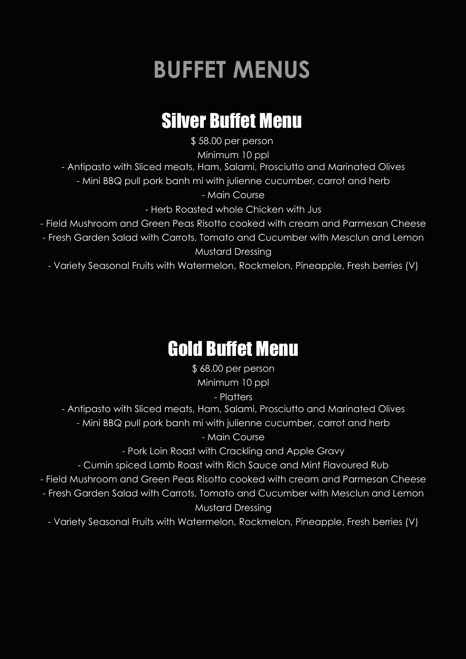# **BUFFET MENUS**

## Silver Buffet Menu

\$ 58.00 per person

Minimum 10 ppl

- Antipasto with Sliced meats, Ham, Salami, Prosciutto and Marinated Olives

- Mini BBQ pull pork banh mi with julienne cucumber, carrot and herb

- Main Course

- Herb Roasted whole Chicken with Jus

- Field Mushroom and Green Peas Risotto cooked with cream and Parmesan Cheese

- Fresh Garden Salad with Carrots, Tomato and Cucumber with Mesclun and Lemon Mustard Dressing

- Variety Seasonal Fruits with Watermelon, Rockmelon, Pineapple, Fresh berries (V)

### Gold Buffet Menu

\$ 68.00 per person Minimum 10 ppl

- Platters

- Antipasto with Sliced meats, Ham, Salami, Prosciutto and Marinated Olives

- Mini BBQ pull pork banh mi with julienne cucumber, carrot and herb

- Main Course

- Pork Loin Roast with Crackling and Apple Gravy

- Cumin spiced Lamb Roast with Rich Sauce and Mint Flavoured Rub

- Field Mushroom and Green Peas Risotto cooked with cream and Parmesan Cheese

- Fresh Garden Salad with Carrots, Tomato and Cucumber with Mesclun and Lemon Mustard Dressing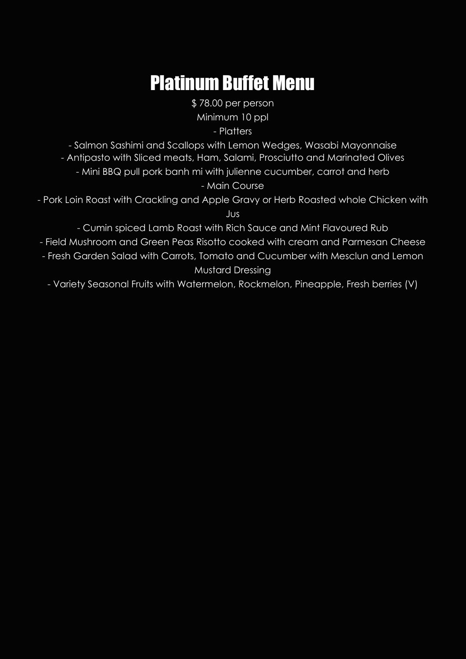### Platinum Buffet Menu

\$ 78.00 per person Minimum 10 ppl - Platters

- Salmon Sashimi and Scallops with Lemon Wedges, Wasabi Mayonnaise - Antipasto with Sliced meats, Ham, Salami, Prosciutto and Marinated Olives

- Mini BBQ pull pork banh mi with julienne cucumber, carrot and herb

- Main Course

- Pork Loin Roast with Crackling and Apple Gravy or Herb Roasted whole Chicken with Jus

- Cumin spiced Lamb Roast with Rich Sauce and Mint Flavoured Rub

- Field Mushroom and Green Peas Risotto cooked with cream and Parmesan Cheese

- Fresh Garden Salad with Carrots, Tomato and Cucumber with Mesclun and Lemon Mustard Dressing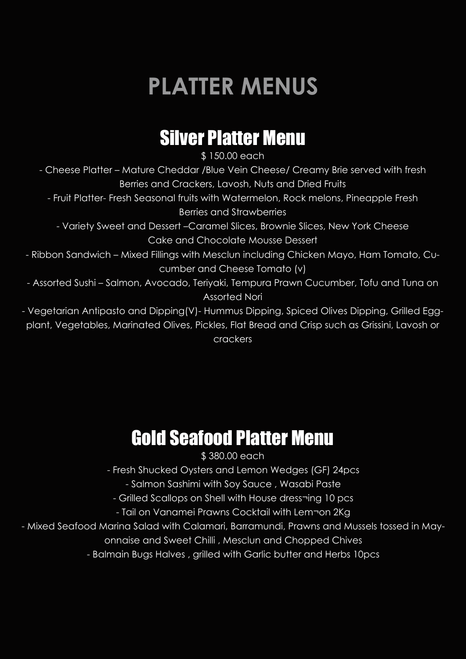# **PLATTER MENUS**

#### Silver Platter Menu

\$ 150.00 each

- Cheese Platter – Mature Cheddar /Blue Vein Cheese/ Creamy Brie served with fresh Berries and Crackers, Lavosh, Nuts and Dried Fruits

- Fruit Platter- Fresh Seasonal fruits with Watermelon, Rock melons, Pineapple Fresh Berries and Strawberries

- Variety Sweet and Dessert –Caramel Slices, Brownie Slices, New York Cheese Cake and Chocolate Mousse Dessert

- Ribbon Sandwich – Mixed Fillings with Mesclun including Chicken Mayo, Ham Tomato, Cucumber and Cheese Tomato (v)

- Assorted Sushi – Salmon, Avocado, Teriyaki, Tempura Prawn Cucumber, Tofu and Tuna on Assorted Nori

- Vegetarian Antipasto and Dipping(V)- Hummus Dipping, Spiced Olives Dipping, Grilled Eggplant, Vegetables, Marinated Olives, Pickles, Flat Bread and Crisp such as Grissini, Lavosh or crackers

#### Gold Seafood Platter Menu

\$ 380.00 each

- Fresh Shucked Oysters and Lemon Wedges (GF) 24pcs

- Salmon Sashimi with Soy Sauce , Wasabi Paste

- Grilled Scallops on Shell with House dress¬ing 10 pcs

- Tail on Vanamei Prawns Cocktail with Lem¬on 2Kg

- Mixed Seafood Marina Salad with Calamari, Barramundi, Prawns and Mussels tossed in May-

onnaise and Sweet Chilli , Mesclun and Chopped Chives

- Balmain Bugs Halves , grilled with Garlic butter and Herbs 10pcs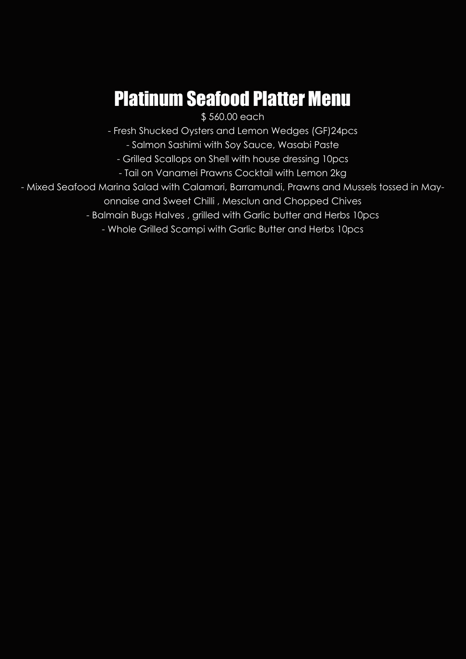## Platinum Seafood Platter Menu

\$560.00 each

- Fresh Shucked Oysters and Lemon Wedges (GF)24pcs

- Salmon Sashimi with Soy Sauce, Wasabi Paste

- Grilled Scallops on Shell with house dressing 10pcs

- Tail on Vanamei Prawns Cocktail with Lemon 2kg

- Mixed Seafood Marina Salad with Calamari, Barramundi, Prawns and Mussels tossed in May-

onnaise and Sweet Chilli , Mesclun and Chopped Chives

- Balmain Bugs Halves , grilled with Garlic butter and Herbs 10pcs

- Whole Grilled Scampi with Garlic Butter and Herbs 10pcs